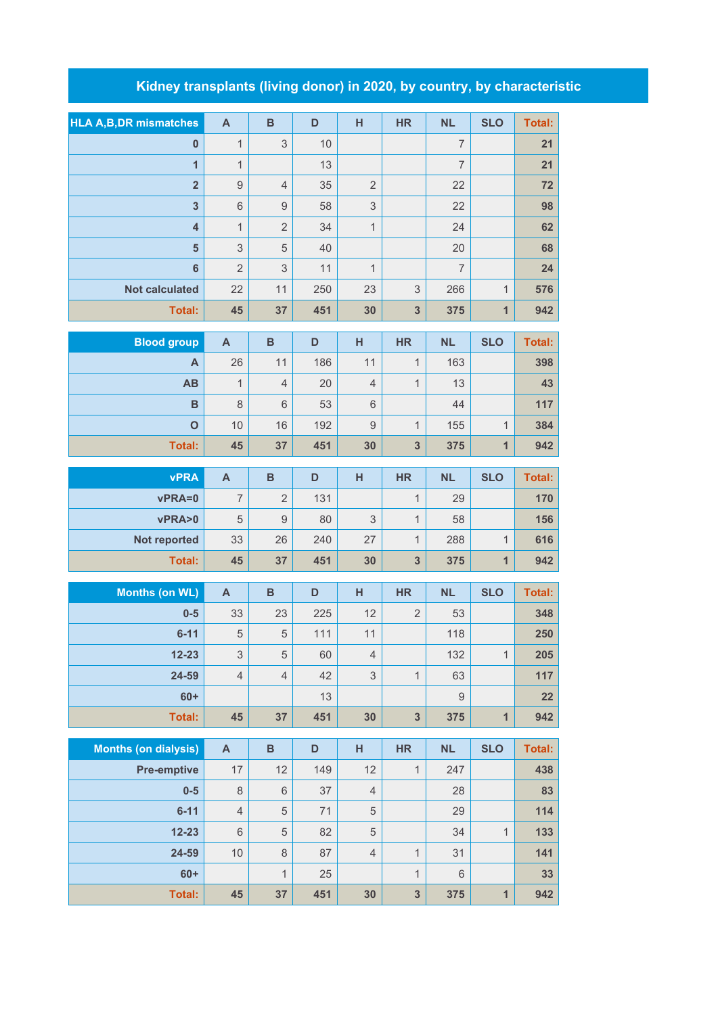## **Kidney transplants (living donor) in 2020, by country, by characteristic**

| <b>HLA A, B, DR mismatches</b> | A                         | $\, {\bf B}$     | D    | H              | <b>HR</b>               | <b>NL</b>      | <b>SLO</b>   | <b>Total:</b> |
|--------------------------------|---------------------------|------------------|------|----------------|-------------------------|----------------|--------------|---------------|
| $\pmb{0}$                      | $\mathbf{1}$              | 3                | $10$ |                |                         | $\overline{7}$ |              | 21            |
| $\overline{1}$                 | $\mathbf{1}$              |                  | 13   |                |                         | $\overline{7}$ |              | 21            |
| $\overline{2}$                 | $\hbox{9}$                | $\overline{4}$   | 35   | $\sqrt{2}$     |                         | 22             |              | 72            |
| $\mathbf{3}$                   | $\,6$                     | $\boldsymbol{9}$ | 58   | 3              |                         | 22             |              | 98            |
| $\overline{\mathbf{4}}$        | $\mathbf{1}$              | $\overline{2}$   | 34   | 1              |                         | 24             |              | 62            |
| 5                              | $\mathsf 3$               | 5                | 40   |                |                         | 20             |              | 68            |
| $6\phantom{1}6$                | $\overline{2}$            | $\mathsf 3$      | 11   | 1              |                         | $\overline{7}$ |              | 24            |
| <b>Not calculated</b>          | 22                        | 11               | 250  | 23             | 3                       | 266            | $\mathbf{1}$ | 576           |
| <b>Total:</b>                  | 45                        | 37               | 451  | 30             | 3                       | 375            | $\mathbf{1}$ | 942           |
| <b>Blood group</b>             | $\boldsymbol{\mathsf{A}}$ | $\, {\bf B}$     | D    | H              | <b>HR</b>               | <b>NL</b>      | <b>SLO</b>   | Total:        |
| A                              | 26                        | 11               | 186  | 11             | $\mathbf{1}$            | 163            |              | 398           |
| <b>AB</b>                      | $\mathbf{1}$              | $\overline{4}$   | 20   | 4              | $\mathbf{1}$            | 13             |              | 43            |
| $\mathbf B$                    | $\,8\,$                   | $6\,$            | 53   | $\,$ 6 $\,$    |                         | 44             |              | 117           |
| $\mathbf{o}$                   | 10                        | 16               | 192  | $\mathsf 9$    | $\mathbf{1}$            | 155            | $\mathbf{1}$ | 384           |
| <b>Total:</b>                  | 45                        | 37               | 451  | 30             | 3                       | 375            | $\mathbf{1}$ | 942           |
|                                |                           |                  |      |                |                         |                |              |               |
| <b>vPRA</b>                    | $\mathsf{A}$              | $\, {\bf B}$     | D    | H              | <b>HR</b>               | <b>NL</b>      | <b>SLO</b>   | <b>Total:</b> |
| vPRA=0                         | $\overline{7}$            | $\overline{2}$   | 131  |                | $\mathbf{1}$            | 29             |              | 170           |
| vPRA>0                         | 5                         | $\mathsf g$      | 80   | 3              | $\mathbf{1}$            | 58             |              | 156           |
| Not reported                   | 33                        | 26               | 240  | 27             | $\mathbf{1}$            | 288            | $\mathbf{1}$ | 616           |
| <b>Total:</b>                  | 45                        | 37               | 451  | 30             | 3                       | 375            | $\mathbf{1}$ | 942           |
| <b>Months (on WL)</b>          | $\boldsymbol{\mathsf{A}}$ | $\, {\bf B}$     | D    | H              | <b>HR</b>               | <b>NL</b>      | <b>SLO</b>   | <b>Total:</b> |
| $0-5$                          | 33                        | 23               | 225  | 12             | $\overline{2}$          | 53             |              | 348           |
| $6 - 11$                       | $\sqrt{5}$                | 5                | 111  | 11             |                         | 118            |              | 250           |
| $12 - 23$                      | 3                         | 5                | 60   | $\overline{4}$ |                         | 132            | $\mathbf{1}$ | 205           |
| 24-59                          | $\overline{4}$            | $\overline{4}$   | 42   | 3              | $\mathbf{1}$            | 63             |              | 117           |
| $60+$                          |                           |                  | 13   |                |                         | $\hbox{9}$     |              | 22            |
| <b>Total:</b>                  | 45                        | 37               | 451  | 30             | $\overline{\mathbf{3}}$ | 375            | $\mathbf{1}$ | 942           |
|                                |                           |                  |      |                |                         |                |              |               |
| <b>Months (on dialysis)</b>    | $\boldsymbol{\mathsf{A}}$ | $\overline{B}$   | D    | H              | <b>HR</b>               | <b>NL</b>      | <b>SLO</b>   | <b>Total:</b> |
| <b>Pre-emptive</b>             | $17$                      | 12               | 149  | 12             | $\mathbf{1}$            | 247            |              | 438           |
| $0-5$                          | $\,8\,$                   | $\,6$            | 37   | $\sqrt{4}$     |                         | 28             |              | 83            |
| $6 - 11$                       | $\overline{4}$            | 5                | 71   | $\mathbf 5$    |                         | 29             |              | 114           |
| $12 - 23$                      | 6                         | 5                | 82   | $\mathbf 5$    |                         | 34             | $\mathbf{1}$ | 133           |
| 24-59                          | 10                        | $\,8\,$          | 87   | $\overline{4}$ | $\mathbf{1}$            | 31             |              | 141           |
| $60+$                          |                           | $\mathbf{1}$     | 25   |                | $\mathbf{1}$            | 6              |              | 33            |
| <b>Total:</b>                  | 45                        | 37               | 451  | 30             | 3                       | 375            | $\mathbf{1}$ | 942           |